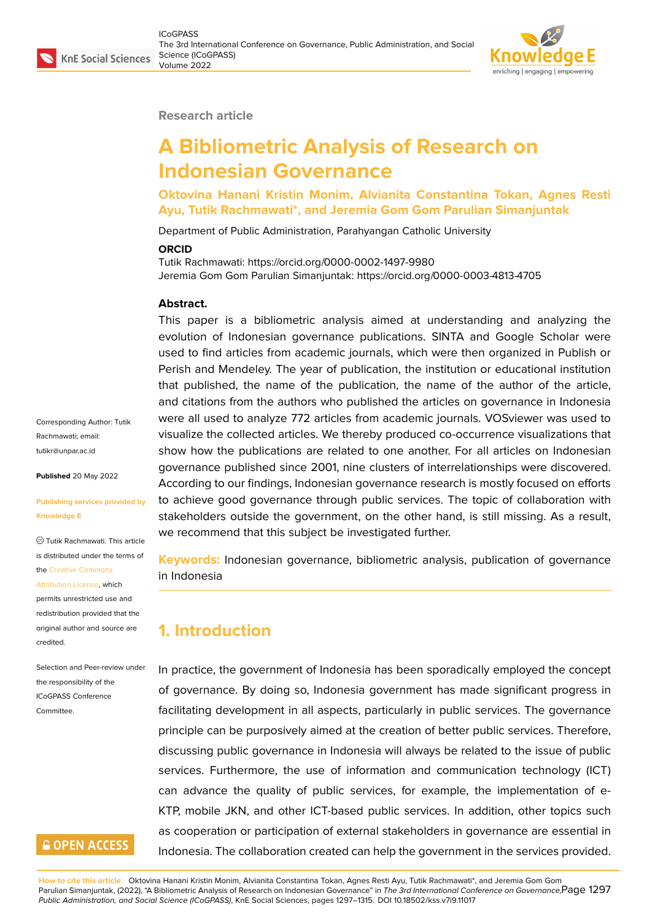

#### **Research article**

# **A Bibliometric Analysis of Research on Indonesian Governance**

**Oktovina Hanani Kristin Monim, Alvianita Constantina Tokan, Agnes Resti Ayu, Tutik Rachmawati\*, and Jeremia Gom Gom Parulian Simanjuntak**

Department of Public Administration, Parahyangan Catholic University

#### **ORCID**

Tutik Rachmawati: https://orcid.org/0000-0002-1497-9980 Jeremia Gom Gom Parulian Simanjuntak: https://orcid.org/0000-0003-4813-4705

#### **Abstract.**

This paper is a bibliometric analysis aimed at understanding and analyzing the evolution of Indonesian governance publications. SINTA and Google Scholar were used to find articles from academic journals, which were then organized in Publish or Perish and Mendeley. The year of publication, the institution or educational institution that published, the name of the publication, the name of the author of the article, and citations from the authors who published the articles on governance in Indonesia were all used to analyze 772 articles from academic journals. VOSviewer was used to visualize the collected articles. We thereby produced co-occurrence visualizations that show how the publications are related to one another. For all articles on Indonesian governance published since 2001, nine clusters of interrelationships were discovered. According to our findings, Indonesian governance research is mostly focused on efforts to achieve good governance through public services. The topic of collaboration with stakeholders outside the government, on the other hand, is still missing. As a result, we recommend that this subject be investigated further.

**Keywords:** Indonesian governance, bibliometric analysis, publication of governance in Indonesia

### **1. Introduction**

In practice, the government of Indonesia has been sporadically employed the concept of governance. By doing so, Indonesia government has made significant progress in facilitating development in all aspects, particularly in public services. The governance principle can be purposively aimed at the creation of better public services. Therefore, discussing public governance in Indonesia will always be related to the issue of public services. Furthermore, the use of information and communication technology (ICT) can advance the quality of public services, for example, the implementation of e-KTP, mobile JKN, and other ICT-based public services. In addition, other topics such as cooperation or participation of external stakeholders in governance are essential in Indonesia. The collaboration created can help the government in the services provided.

Corresponding Author: Tutik Rachmawati; email: tutikr@unpar.ac.id

**Published** 20 May 2022

#### **[Publishing service](mailto:tutikr@unpar.ac.id)s provided by Knowledge E**

Tutik Rachmawati. This article is distributed under the terms of the Creative Commons

Attribution License, which

permits unrestricted use and redistribution provided that the orig[inal author and sou](https://creativecommons.org/licenses/by/4.0/)rce are [credited.](https://creativecommons.org/licenses/by/4.0/)

Selection and Peer-review under the responsibility of the ICoGPASS Conference

**Committee** 

# **GOPEN ACCESS**

**How to cite this article**: Oktovina Hanani Kristin Monim, Alvianita Constantina Tokan, Agnes Resti Ayu, Tutik Rachmawati\*, and Jeremia Gom Gom Parulian Simanjuntak, (2022), "A Bibliometric Analysis of Research on Indonesian Governance" in *The 3rd International Conference on Governance,* Page 1297 *Public Administration, and Social Science (ICoGPASS)*, KnE Social Sciences, pages 1297–1315. DOI 10.18502/kss.v7i9.11017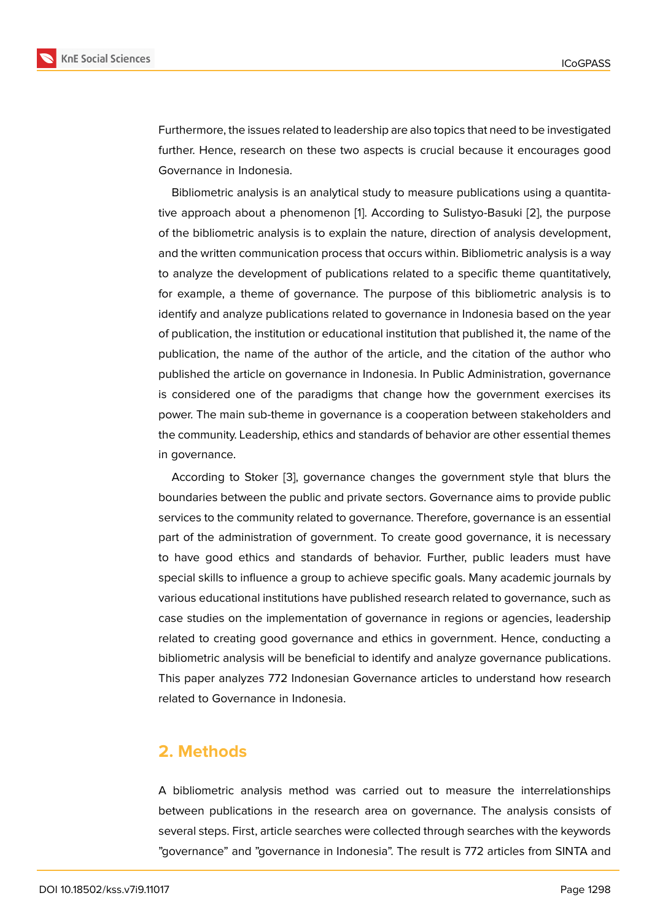Furthermore, the issues related to leadership are also topics that need to be investigated further. Hence, research on these two aspects is crucial because it encourages good Governance in Indonesia.

Bibliometric analysis is an analytical study to measure publications using a quantitative approach about a phenomenon [1]. According to Sulistyo-Basuki [2], the purpose of the bibliometric analysis is to explain the nature, direction of analysis development, and the written communication process that occurs within. Bibliometric analysis is a way to analyze the development of public[a](#page-16-0)tions related to a specific them[e](#page-16-1) quantitatively, for example, a theme of governance. The purpose of this bibliometric analysis is to identify and analyze publications related to governance in Indonesia based on the year of publication, the institution or educational institution that published it, the name of the publication, the name of the author of the article, and the citation of the author who published the article on governance in Indonesia. In Public Administration, governance is considered one of the paradigms that change how the government exercises its power. The main sub-theme in governance is a cooperation between stakeholders and the community. Leadership, ethics and standards of behavior are other essential themes in governance.

According to Stoker [3], governance changes the government style that blurs the boundaries between the public and private sectors. Governance aims to provide public services to the community related to governance. Therefore, governance is an essential part of the administratio[n](#page-16-2) of government. To create good governance, it is necessary to have good ethics and standards of behavior. Further, public leaders must have special skills to influence a group to achieve specific goals. Many academic journals by various educational institutions have published research related to governance, such as case studies on the implementation of governance in regions or agencies, leadership related to creating good governance and ethics in government. Hence, conducting a bibliometric analysis will be beneficial to identify and analyze governance publications. This paper analyzes 772 Indonesian Governance articles to understand how research related to Governance in Indonesia.

### **2. Methods**

A bibliometric analysis method was carried out to measure the interrelationships between publications in the research area on governance. The analysis consists of several steps. First, article searches were collected through searches with the keywords "governance" and "governance in Indonesia". The result is 772 articles from SINTA and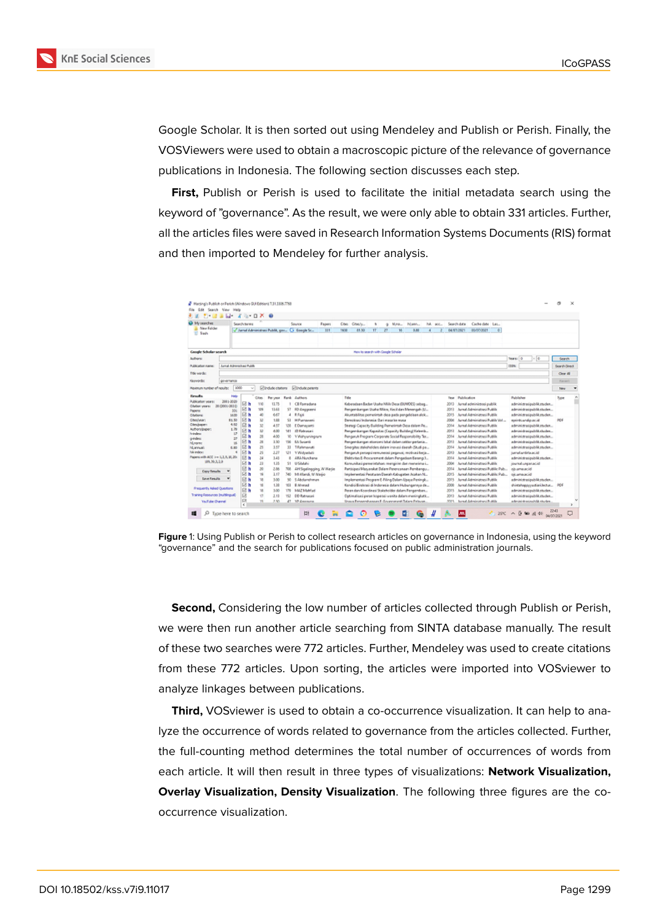

Google Scholar. It is then sorted out using Mendeley and Publish or Perish. Finally, the VOSViewers were used to obtain a macroscopic picture of the relevance of governance publications in Indonesia. The following section discusses each step.

**First,** Publish or Perish is used to facilitate the initial metadata search using the keyword of "governance". As the result, we were only able to obtain 331 articles. Further, all the articles files were saved in Research Information Systems Documents (RIS) format and then imported to Mendeley for further analysis.

| <b>Co My residies</b>              |                             | Search terms |                         |                 |            | Source                                           | <b><i><u>Papers</u></i></b> | Citys: | COUN-                                                   | ٠  | ă       | M.no | Naw- | hä. | acc. |       | Search data      | Cache date                         | Lat.     |                              |               |  |
|------------------------------------|-----------------------------|--------------|-------------------------|-----------------|------------|--------------------------------------------------|-----------------------------|--------|---------------------------------------------------------|----|---------|------|------|-----|------|-------|------------------|------------------------------------|----------|------------------------------|---------------|--|
| Mean Falicies<br><b>ST Trees</b>   |                             |              |                         |                 |            | / Janal Administrati Public gas  Ca. Seegle Sn., | 331                         | 16/22  | 31.50                                                   | IT | $_{21}$ | M    | 0.80 |     |      |       | 04/03/2021       | asonage                            | <b>D</b> |                              |               |  |
| Geogle Scholar search              |                             |              |                         |                 |            |                                                  |                             |        | Here he search with Gaugle Scholar                      |    |         |      |      |     |      |       |                  |                                    |          |                              |               |  |
| <b>Authors</b>                     |                             |              |                         |                 |            |                                                  |                             |        |                                                         |    |         |      |      |     |      |       |                  |                                    |          | $-0.0$<br>Tears: 0           | <b>Search</b> |  |
|                                    |                             |              |                         |                 |            |                                                  |                             |        |                                                         |    |         |      |      |     |      |       |                  |                                    |          |                              |               |  |
| <b>Rubballon name</b>              | <b>June Alematics Fulds</b> |              |                         |                 |            |                                                  |                             |        |                                                         |    |         |      |      |     |      |       |                  |                                    |          | <b>ISSN</b>                  | Search Direct |  |
| Fide words:                        |                             |              |                         |                 |            |                                                  |                             |        |                                                         |    |         |      |      |     |      |       |                  |                                    |          |                              | Clear All     |  |
| Keywords:                          | programs                    |              |                         |                 |            |                                                  |                             |        |                                                         |    |         |      |      |     |      |       |                  |                                    |          |                              | <b>Recent</b> |  |
| Haknum hunber of nexults:          | 1000                        | wi           |                         | Elinduse camera |            | <b>Elindude petents</b>                          |                             |        |                                                         |    |         |      |      |     |      |       |                  |                                    |          |                              | <b>New</b>    |  |
| <b>Expedite</b>                    | Help                        |              | Cites.                  | Persona         |            | Rank Authors                                     |                             | Tele   |                                                         |    |         |      |      |     |      |       | Team Publication |                                    |          | Publisher                    | Ture          |  |
| <b>Publication sears:</b>          | 2001-2020                   | 回程           | <b>YM</b>               | 11.75           |            | Cli Ramadana                                     |                             |        | Kebenetaan Baden Uraha Milik Dera (BUMOES) sebeg        |    |         |      |      |     |      | 3043  |                  | Jurnal administrasi publik         |          | administrationblik.rockm     |               |  |
| Clabor years 20 (2000-2011)        | Me.                         | 回直           | $\overline{101}$        | 11.41           |            | ST FO Anggrasni                                  |                             |        | Pengembangan Usaha Mikro, Kecil dan Menengah (U         |    |         |      |      |     |      | 3011  |                  | Jurnal Administraci Public         |          | administratipublik studen    |               |  |
| <b>Papers</b><br>Citations         | 16.00                       | 回首           | 40                      | 6.67            |            | 4 Rifain                                         |                             |        | Akustabilitas pemerintuh desa pada pengelolaan alok     |    |         |      |      |     |      | 3015  |                  | James Administrate Public          |          | administrazioni: lik studen  |               |  |
| Cherivean                          | 81.50                       | E1 h         | $\mathbf{u}$            | 1.88            |            | ST H Puntacent                                   |                             |        | Denotioni Indonesia (bari masa lan masa                 |    |         |      |      |     |      | 3004  |                  | Juried Administract Public Vol     |          | eserviciaridatumid           | 804           |  |
| Climaticann                        | 4.80                        | 図像           | $\mathcal{D}$           | 4.57            |            | <b>USI</b> E Dumayunti                           |                             |        | Strategi Capacity Building Pemanintah Desa dalam Pe     |    |         |      |      |     |      | 3044  |                  | Jamal Administrati Public          |          | administrazionistik studen   |               |  |
| <b>Authors</b> Bepart              | 1.79<br>17                  | 回复           | 12                      | 4.00            |            | 141 22 Releasers                                 |                             |        | Pengeerdangan Kapasitas (Capacity Building) Kelewik     |    |         |      |      |     |      | Me k  |                  | Juried Administract Public         |          | administratipalitä.sluslen   |               |  |
| <b>Perintenant</b><br>o rules:     | zz.                         | 回复           | 28                      | 4.00            | w          | <b>YWelvenington</b>                             |                             |        | Penganuh Program Corporate Social Responsibility Tex    |    |         |      |      |     |      | 3044  |                  | James Administrati Public          |          | administration/olik.rockm    |               |  |
| <b>NLowma</b>                      | is.                         | 回直           | $_{21}$                 | 1.10            | TM-        | EA Systems                                       |                             |        | Pengembangan ekonomi lakal dalam sektor pertanja        |    |         |      |      |     |      | 3011  |                  | Juried Administract Public         |          | administration/cfd.shoden    |               |  |
| <b>NUMVILIBIT</b>                  | 6.80                        | 回看           | 23                      | 147             | 33         | <b>TEstenanati</b>                               |                             |        | Sinorgitas stalvaheldem dalam inexussi daerah (Studi pe |    |         |      |      |     |      | 3044  |                  | Jarnal Administrated Public        |          | administrazionistik studen   |               |  |
| <b>Niki imdere</b> n               |                             | <b>Ed In</b> | 25                      | 3.37            |            | U1 YWolvelluti                                   |                             |        | РепрячА рекара напимата редакт, мобила Берь             |    |         |      |      |     |      | 3083  |                  | James Administraci Public          |          | ismetardirlazio id           |               |  |
| Facers with ACC 3-x 1.1.5, 20, 20; |                             | 日程           | 34                      | 141             | ×.         | ABA Nurchana                                     |                             |        | Elditivities E-Procurement dalam Pengadian Barang/J     |    |         |      |      |     |      | 304E  |                  | Jarnal Administrant Public         |          | a deniminárasi publik studen |               |  |
| 109, 50-3, 2-3                     |                             | 図面           | 23                      | 1.35            |            | St. USMAN                                        |                             |        | Koreunikaci perserintahan: reengirire dan menerima i    |    |         |      |      |     |      | 3004  |                  | Jurnal Administraci Public         |          | journal unparticle!          |               |  |
| <b>Cary Smalls</b>                 | w                           | 日々           | 30                      | 3.86            | 708        | AH Sigalingging, WWarjie                         |                             |        | Participani Manyanakat Balans Penonganaan Pombangu      |    |         |      |      |     |      | 304.4 |                  | Jarnal Administrant Public Pub-    |          | ob amaze.id                  |               |  |
|                                    |                             | 回复           | $\overline{\mathbf{u}}$ | 1.17            | мb         | 14 March, M. Wellis                              |                             |        | Implementasi Peraturan Dewah Kabupaten Acakan N.,       |    |         |      |      |     |      | 3015  |                  | Juried Administracy Public Pub-    |          | <b>Gitamazcid</b>            |               |  |
| <b>Save Results</b>                | $\mathbf{v}$                | 尼西           | u                       | 1.00            | 50         | 5 Abdum/vman                                     |                             |        | Implementasi Program E-Filing Dalam Upaca Peningk       |    |         |      |      |     |      | 3075  |                  | Jarnal Administrant Public         |          | administration/slik.studen   |               |  |
|                                    |                             | 図面           | Ħ                       | 138             |            | 101 E.Monad                                      |                             |        | Kondici Bireletei di Indonesia dalam Hubengannya de     |    |         |      |      |     |      | 3500  |                  | Jurnal Administraci Public         |          | distributory/ediations. NSF  |               |  |
| Preparity Adiad Quarters           |                             | E1 N         | u                       | 1.00            | TN.        | MAZZ Middelback                                  |                             |        | Person dan Koordinasi Staksholder dalam Pengemban       |    |         |      |      |     |      | 308%  |                  | Jarnal Administrani Publik         |          | administrazionibile studen   |               |  |
| Traning Resources (multilingual)   |                             | 図            | <b>O</b>                | 211             | <b>YS3</b> | <b>DE-Ranssas</b>                                |                             |        | Optimalizaci perun koperasi wanita-dalam meningkatk     |    |         |      |      |     |      | 3043  |                  | James Administraci Publik          |          | administrazionabilitato den  |               |  |
| YouTube Channel                    |                             | $\Box$<br>×. | <b>TE</b>               | 3.85            | 47         | <b>VS Associate</b>                              |                             |        | lingua Renaembanasas Friburentenesi (Labos Relazion     |    |         |      |      |     |      | 5025  |                  | haven't deterministicated Pentille |          | schrünkteninschäft einzige.  |               |  |

**Figure** 1: Using Publish or Perish to collect research articles on governance in Indonesia, using the keyword "governance" and the search for publications focused on public administration journals.

**Second,** Considering the low number of articles collected through Publish or Perish, we were then run another article searching from SINTA database manually. The result of these two searches were 772 articles. Further, Mendeley was used to create citations from these 772 articles. Upon sorting, the articles were imported into VOSviewer to analyze linkages between publications.

**Third,** VOSviewer is used to obtain a co-occurrence visualization. It can help to analyze the occurrence of words related to governance from the articles collected. Further, the full-counting method determines the total number of occurrences of words from each article. It will then result in three types of visualizations: **Network Visualization, Overlay Visualization, Density Visualization**. The following three figures are the cooccurrence visualization.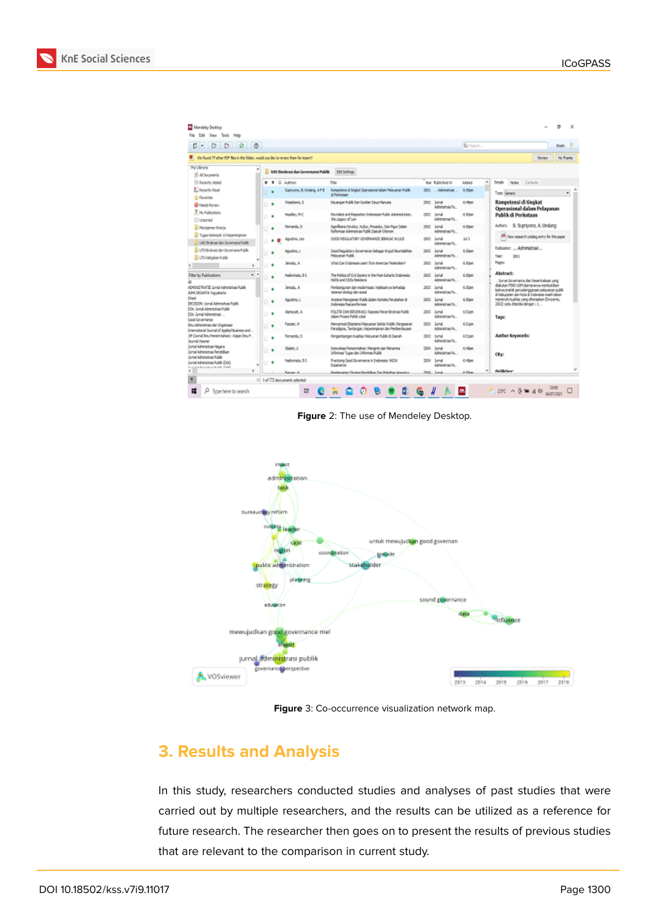| C<br>ø<br>O<br>a<br>c<br>×                                                                                                                                                                                                |   |        |                                           |                                                                                                             |              |                                        | Q-Sords      | <b>Cristin</b>                                                                                                             |
|---------------------------------------------------------------------------------------------------------------------------------------------------------------------------------------------------------------------------|---|--------|-------------------------------------------|-------------------------------------------------------------------------------------------------------------|--------------|----------------------------------------|--------------|----------------------------------------------------------------------------------------------------------------------------|
| To the found 27 after FOP fles in the folder, would you like to review them for impart?                                                                                                                                   |   |        |                                           |                                                                                                             |              |                                        |              | <b>Deveu</b><br><b>No Thanks</b>                                                                                           |
| Hiv Library<br>El Al bouneria                                                                                                                                                                                             |   |        | <b>EAS Separati dan Governanti Publik</b> | Edit Sellings                                                                                               |              |                                        |              |                                                                                                                            |
| (3) Recently Added                                                                                                                                                                                                        | ÷ | ÷<br>٠ | Authors                                   | Title                                                                                                       |              | <b>War Published in</b>                | w.<br>Added  | Driak.<br><b>Notes</b> Contents                                                                                            |
| <b>E</b> Bacerdy Baad<br><b>Tel Favorhac</b><br><b>Q</b> Neeth Review<br><b>P. M. Publications</b><br>Unamed<br><b>I</b> . Muniamen Riverja<br>1. Tugas Griorquik 10 Hapeninginan<br>LL UAS Straking dan Governans Public |   |        | Suprivano, B; Undang, & P B               | Kongelensi di Implat Operational dalam Pelayanan Publik<br>d Perkstaan                                      | 三            | . Advisorus                            | 6.50m        | Troic Generic<br>٠                                                                                                         |
|                                                                                                                                                                                                                           |   | ٠      | Rawlers, 1                                | Kauangan Publik Dan Sumber Daya Manusia                                                                     | 3923         | Sand<br>Administrazi Po.               | 6-River      | Kompetensi di tingkat<br>Operasional dalam Pelayanan                                                                       |
|                                                                                                                                                                                                                           |   | ٠      | Hoadley, MC                               | Revision and Repositor Indonesian Public Administration,<br>the Legacy of Law                               |              | 2002 Sand<br>Administrate Po.          | 4.50m        | <b>Publik di Perkotaan</b>                                                                                                 |
|                                                                                                                                                                                                                           |   | ٠      | Fernanda, D.                              | Sprikans Stuktur, Kultur, Procedur, Dan Figur Dalam<br>Reformasi Administrasi Publik Daerah Olomom          | <b>THEFT</b> | <b>SAFA</b><br>Administrati Pa.        | 4.50pm       | Autor: B. Suprisona, A. Undang                                                                                             |
|                                                                                                                                                                                                                           |   | ٠      | Agustino, Leo                             | SECOND MARINE ROMANO MARINE MARINE SOCIAL                                                                   | 3001         | <b>SANA</b><br><b>Administrate</b> Pa. | Mh           | M. Hex resurch catalog entry for the paper.                                                                                |
| J. LTI Beakse de Giuenana Public<br><b>J. UTS Kebakan Public</b>                                                                                                                                                          |   |        | Agustino, L                               | Good Regulatory Sovernance Sebagai VIULA Nicurizabilitas<br><b><i><u> Relasionan Public</u></i></b>         | 3503         | <b>Sanak</b><br>Administração Pro      | 4:50pm       | Publication:  Administrate<br>har.<br>3911                                                                                 |
|                                                                                                                                                                                                                           |   |        | Jetaču A                                  | Vitat Car Indonesia Learn from American Federalism?                                                         |              | ters lund<br>Advertering Pa.           | 4:50pm       | Pages                                                                                                                      |
| $+1$<br>Fiberby Publications                                                                                                                                                                                              |   |        | <b>Hadiviruta, 8:5</b>                    | The Politics of Civil Spoints in the Post-Sultants Indonesia:<br>NGOs and CSOs Relations                    |              | ters June<br>Advertising Pa.           | 4:50m        | Abstract:<br>Survei Sovernance dan Desentudioasi yang                                                                      |
| ADMINISTRATIS Lynxi Administrati Public<br>ABE DELWIN Yagyakarta                                                                                                                                                          |   |        | Jenadu A                                  | Penbungunan dan modernisasi: inglikasinya terhadap<br>tehnum ekologi dan social                             |              | With Sand<br>Advanceurs Pa.            | d:50m        | Salukan PSG UGN dantaranya membuktkan<br>Sidus mmaladına taparalarının ildə olunu                                          |
| <b>Owd</b><br>DECEDE hand Alexandras Public                                                                                                                                                                               |   | ٠      | Aquitino, L.                              | Anatoni Manajamen Publik dalam Kontaksi Pendiahan di<br><b>Julyesis Pascarelly Has</b>                      |              | Will June<br>Advertising Pa.           | d:50pm       | di Kabupaten dan Kota di Indonesia Kadil belum<br>reneruhi kuditus vang dharapkan Erwants,<br>2003 valu diterda dengan : 1 |
| Dik Junel Admiration Public<br>DX: lund Absrights                                                                                                                                                                         |   | ٠      | Kampush, A                                | POLITIK DAN BIRDARASI: Raccess Peran Bindmas Publik<br>dalam Proses Politik Likal                           |              | 3001 June<br>Advisorus Pu.             | d:Ston       | Tage:                                                                                                                      |
| Cool Covernance<br><b>Snu körinistras dan Organisasi</b><br>Startsdoral Scutal of Appled Business and                                                                                                                     |   | ٠      | Faceso, H                                 | Mercamat Dolchans Pelayanan Sektor Public Pergeseran<br>Paradigna, Tantangan, Kepeninpinan dan Penderdayaan |              | 2003 June<br>Advisorus Pu.             | d:Ston       |                                                                                                                            |
| 2P (Savud Sm./Venerintalium) - Kinken Sm./F.<br>Jaumal Valoner                                                                                                                                                            |   | ٠      | Fernanda, D.                              | Pengenbungan Kusiltas Pelevanan Publik di Daerah.                                                           |              | 2021 June<br>Administração             | d:Days       | Author Environts:                                                                                                          |
| Jumal Administrati Negara<br><b>Lynal Administrat Pendolium</b>                                                                                                                                                           |   | ٠      | Sidehi, U                                 | Konunkas Penerintahan: Mengrin dan Menerina<br>Informati Tugas dan Informati Public                         | 3014         | <b>June</b><br>Administrati Pa.        | d: Kinn      | Obr.                                                                                                                       |
| <b>Lynd Advisorus Public</b><br>Jumal Administras Public (200)<br>County of the American control in the County                                                                                                            |   | ٠      | Hadvinata, 85                             | Practicing: Good Governance in Indonesia: MGDs'<br>Expenses                                                 |              | 2014 land<br>Arbitricht und Reg.       | 6 Km         |                                                                                                                            |
| ×                                                                                                                                                                                                                         |   |        | Farene, M.                                | Developmenture Churines Developmenture Data Belasticae: Americans                                           |              | 2004 Small                             | M.<br>A-50mm | <b>Dublichus</b>                                                                                                           |

**Figure** 2: The use of Mendeley Desktop.



**Figure** 3: Co-occurrence visualization network map.

# **3. Results and Analysis**

In this study, researchers conducted studies and analyses of past studies that were carried out by multiple researchers, and the results can be utilized as a reference for future research. The researcher then goes on to present the results of previous studies that are relevant to the comparison in current study.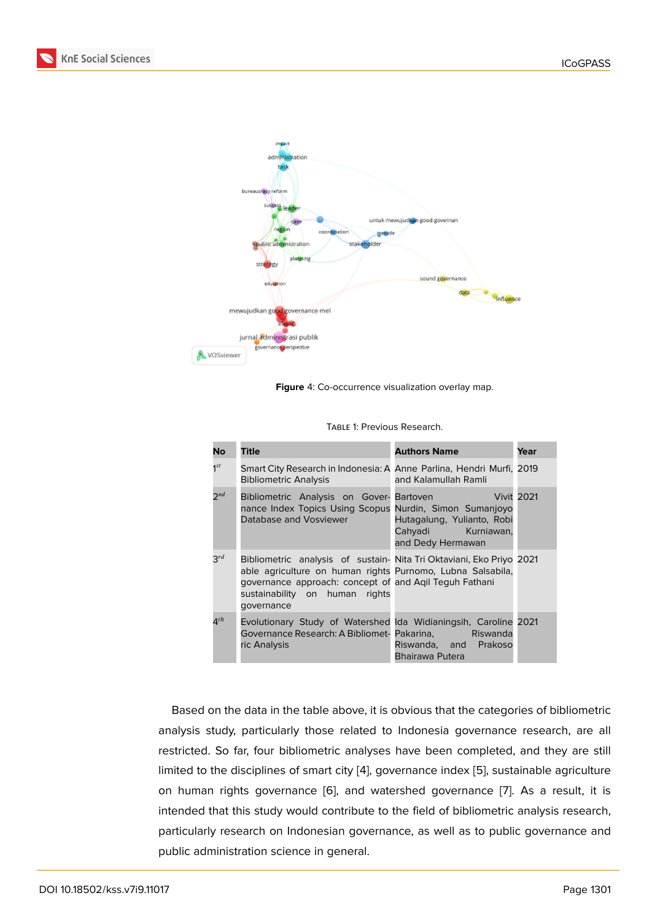

**Figure** 4: Co-occurrence visualization overlay map.

| <b>No</b>              | <b>Title</b>                                                                                                                                                                                                                                 | <b>Authors Name</b>                                                   | Year              |
|------------------------|----------------------------------------------------------------------------------------------------------------------------------------------------------------------------------------------------------------------------------------------|-----------------------------------------------------------------------|-------------------|
| $1^{st}$               | Smart City Research in Indonesia: A Anne Parlina, Hendri Murfi, 2019<br><b>Bibliometric Analysis</b>                                                                                                                                         | and Kalamullah Ramli                                                  |                   |
| $2^{nd}$               | Bibliometric Analysis on Gover-Bartoven<br>nance Index Topics Using Scopus Nurdin, Simon Sumanjoyo<br>Database and Vosviewer<br><u>a shekara ta 1999</u>                                                                                     | Hutagalung, Yulianto, Robi<br>Cahyadi Kurniawan,<br>and Dedy Hermawan | <b>Vivit 2021</b> |
| $3^{rd}$               | Bibliometric analysis of sustain- Nita Tri Oktaviani, Eko Priyo 2021<br>able agriculture on human rights Purnomo, Lubna Salsabila,<br>governance approach: concept of and Agil Teguh Fathani<br>sustainability on human rights<br>governance |                                                                       |                   |
| $\mathbf{\Delta}^{th}$ | Evolutionary Study of Watershed Ida Widianingsih, Caroline 2021<br>Governance Research: A Bibliomet- Pakarina, The Riswanda<br>ric Analysis                                                                                                  | Riswanda, and Prakoso<br>Bhairawa Putera                              |                   |

Table 1: Previous Research.

Based on the data in the table above, it is obvious that the categories of bibliometric analysis study, particularly those related to Indonesia governance research, are all restricted. So far, four bibliometric analyses have been completed, and they are still limited to the disciplines of smart city [4], governance index [5], sustainable agriculture on human rights governance [6], and watershed governance [7]. As a result, it is intended that this study would contribute to the field of bibliometric analysis research, particularly research on Indonesian g[ov](#page-16-3)ernance, as well as [to](#page-17-0) public governance and public administration science in [g](#page-17-1)eneral.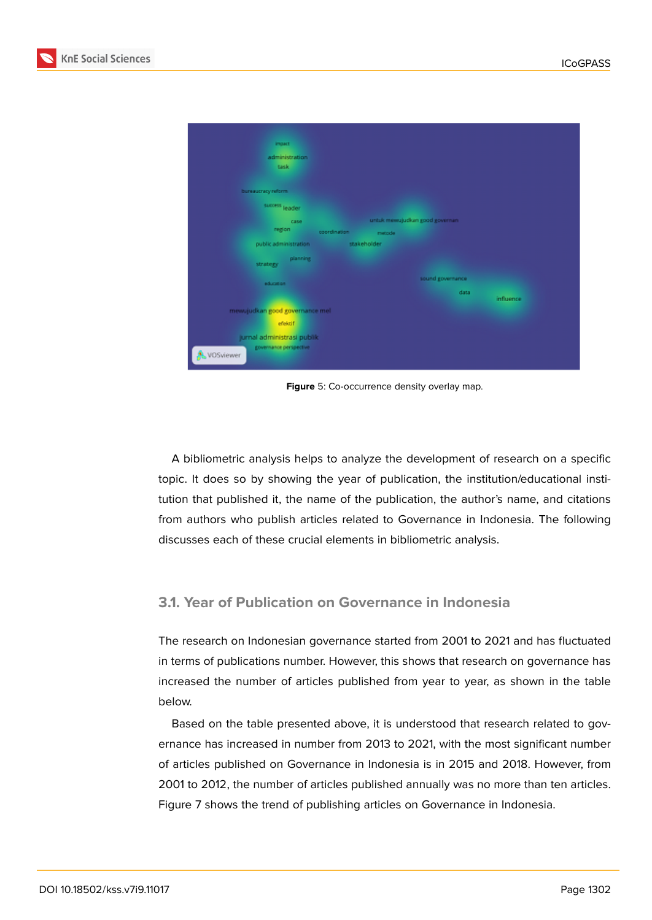| <b>Impact</b><br>administration<br>task<br>bureaucracy reform<br>success leader<br>untuk mewujudkan good governan<br>case<br>region<br>coordination<br>metode<br>public administration<br>stakeholder<br>planning<br>strategy |  |
|-------------------------------------------------------------------------------------------------------------------------------------------------------------------------------------------------------------------------------|--|
|                                                                                                                                                                                                                               |  |
|                                                                                                                                                                                                                               |  |
|                                                                                                                                                                                                                               |  |
|                                                                                                                                                                                                                               |  |
|                                                                                                                                                                                                                               |  |
|                                                                                                                                                                                                                               |  |
|                                                                                                                                                                                                                               |  |
|                                                                                                                                                                                                                               |  |
|                                                                                                                                                                                                                               |  |
|                                                                                                                                                                                                                               |  |
| sound governance                                                                                                                                                                                                              |  |
| education                                                                                                                                                                                                                     |  |
| data<br><i>influence</i>                                                                                                                                                                                                      |  |
| mewujudkan good governance mel-                                                                                                                                                                                               |  |
| efektif                                                                                                                                                                                                                       |  |
| jurnal administrasi publik                                                                                                                                                                                                    |  |
| governance perspective                                                                                                                                                                                                        |  |

**Figure** 5: Co-occurrence density overlay map.

A bibliometric analysis helps to analyze the development of research on a specific topic. It does so by showing the year of publication, the institution/educational institution that published it, the name of the publication, the author's name, and citations from authors who publish articles related to Governance in Indonesia. The following discusses each of these crucial elements in bibliometric analysis.

### **3.1. Year of Publication on Governance in Indonesia**

The research on Indonesian governance started from 2001 to 2021 and has fluctuated in terms of publications number. However, this shows that research on governance has increased the number of articles published from year to year, as shown in the table below.

Based on the table presented above, it is understood that research related to governance has increased in number from 2013 to 2021, with the most significant number of articles published on Governance in Indonesia is in 2015 and 2018. However, from 2001 to 2012, the number of articles published annually was no more than ten articles. Figure 7 shows the trend of publishing articles on Governance in Indonesia.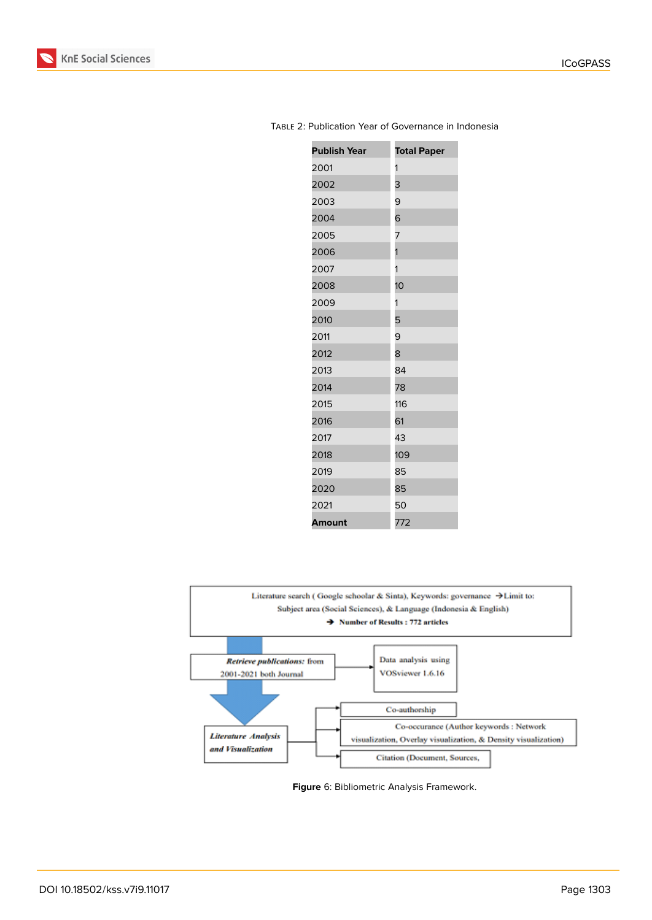

| <b>Publish Year</b> | <b>Total Paper</b> |
|---------------------|--------------------|
| 2001                | 1                  |
| 2002                | 3                  |
| 2003                | 9                  |
| 2004                | 6                  |
| 2005                | 7                  |
| 2006                | 1                  |
| 2007                | 1                  |
| 2008                | 10                 |
| 2009                | 1                  |
| 2010                | 5                  |
| 2011                | 9                  |
| 2012                | 8                  |
| 2013                | 84                 |
| 2014                | 78                 |
| 2015                | 116                |
| 2016                | 61                 |
| 2017                | 43                 |
| 2018                | 109                |
| 2019                | 85                 |
| 2020                | 85                 |
| 2021                | 50                 |
| Amount              | 772                |

#### Table 2: Publication Year of Governance in Indonesia



**Figure** 6: Bibliometric Analysis Framework.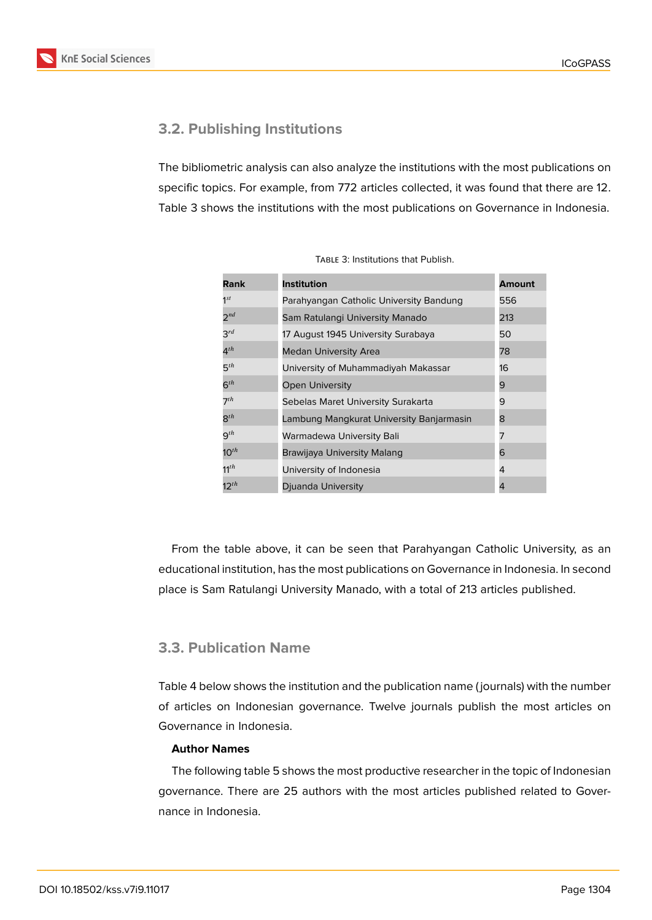## **3.2. Publishing Institutions**

The bibliometric analysis can also analyze the institutions with the most publications on specific topics. For example, from 772 articles collected, it was found that there are 12. Table 3 shows the institutions with the most publications on Governance in Indonesia.

| Rank              | <b>Institution</b>                       | <b>Amount</b> |
|-------------------|------------------------------------------|---------------|
| $1^{st}$          | Parahyangan Catholic University Bandung  | 556           |
| $2^{nd}$          | Sam Ratulangi University Manado          | 213           |
| $3^{rd}$          | 17 August 1945 University Surabaya       | 50            |
| $4^{th}$          | <b>Medan University Area</b>             | 78            |
| $5^{th}$          | University of Muhammadiyah Makassar      | 16            |
| $6^{th}$          | <b>Open University</b>                   | 9             |
| 7 <sup>th</sup>   | Sebelas Maret University Surakarta       | 9             |
| $8^{th}$          | Lambung Mangkurat University Banjarmasin | 8             |
| $\mathsf{q}^{th}$ | Warmadewa University Bali                | 7             |
| $10^{th}$         | Brawijaya University Malang              | 6             |
| $11^{th}$         | University of Indonesia                  | 4             |
| $12^{th}$         | Djuanda University                       | 4             |

TABLE 3: Institutions that Publish.

From the table above, it can be seen that Parahyangan Catholic University, as an educational institution, has the most publications on Governance in Indonesia. In second place is Sam Ratulangi University Manado, with a total of 213 articles published.

### **3.3. Publication Name**

Table 4 below shows the institution and the publication name ( journals) with the number of articles on Indonesian governance. Twelve journals publish the most articles on Governance in Indonesia.

#### **Author Names**

The following table 5 shows the most productive researcher in the topic of Indonesian governance. There are 25 authors with the most articles published related to Governance in Indonesia.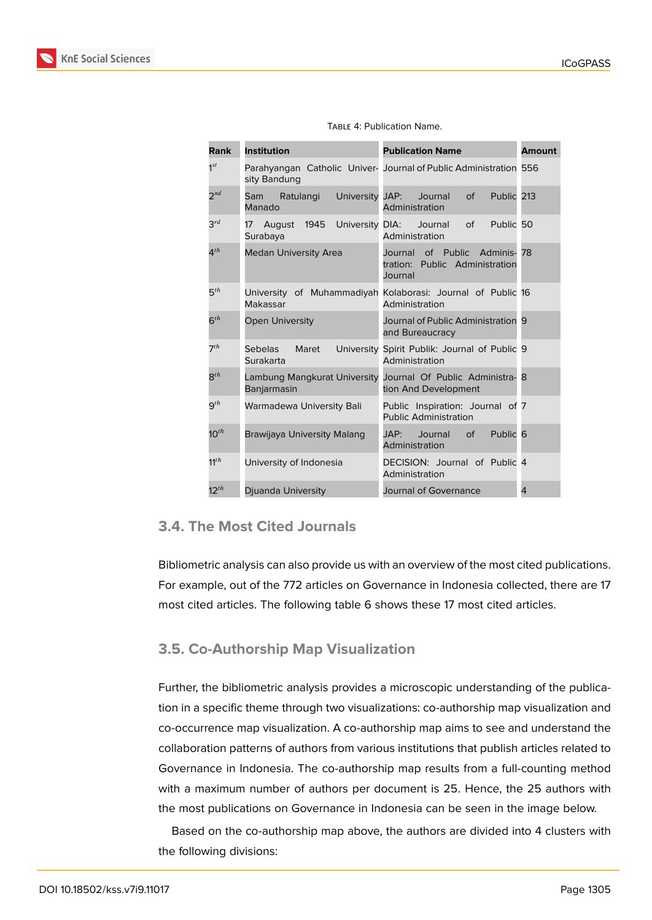

| <b>Rank</b>     | <b>Institution</b>                                 | <b>Publication Name</b>                                                       | <b>Amount</b> |
|-----------------|----------------------------------------------------|-------------------------------------------------------------------------------|---------------|
| $1^{st}$        | sity Bandung                                       | Parahyangan Catholic Univer- Journal of Public Administration 556             |               |
| $2^{nd}$        | Ratulangi<br>University JAP:<br>Sam<br>Manado      | Journal<br>Public 213<br>$\circ$ f<br>Administration                          |               |
| $3^{rd}$        | August 1945<br>17<br>Surabaya                      | University DIA: Journal<br>Public 50<br>of<br>Administration                  |               |
| $4^{th}$        | <b>Medan University Area</b>                       | Journal of Public<br>Adminis-78<br>tration: Public Administration<br>Journal  |               |
| $5^{th}$        | Makassar                                           | University of Muhammadiyah Kolaborasi: Journal of Public 16<br>Administration |               |
| $6^{th}$        | <b>Open University</b>                             | Journal of Public Administration 9<br>and Bureaucracy                         |               |
| 7 <sup>th</sup> | Maret<br>University<br><b>Sebelas</b><br>Surakarta | Spirit Publik: Journal of Public 9<br>Administration                          |               |
| $8^{th}$        | Lambung Mangkurat University<br>Banjarmasin        | Journal Of Public Administra- 8<br>tion And Development                       |               |
| $9^{th}$        | Warmadewa University Bali                          | Public Inspiration: Journal of 7<br><b>Public Administration</b>              |               |
| $10^{th}$       | Brawijaya University Malang                        | Public <sub>6</sub><br>JAP:<br>Journal<br>$\circ$ f<br>Administration         |               |
| $11^{th}$       | University of Indonesia                            | DECISION: Journal of Public 4<br>Administration                               |               |
| $12^{th}$       | Djuanda University                                 | Journal of Governance                                                         | 4             |

#### TABLE 4: Publication Name.

### **3.4. The Most Cited Journals**

Bibliometric analysis can also provide us with an overview of the most cited publications. For example, out of the 772 articles on Governance in Indonesia collected, there are 17 most cited articles. The following table 6 shows these 17 most cited articles.

### **3.5. Co-Authorship Map Visualization**

Further, the bibliometric analysis provides a microscopic understanding of the publication in a specific theme through two visualizations: co-authorship map visualization and co-occurrence map visualization. A co-authorship map aims to see and understand the collaboration patterns of authors from various institutions that publish articles related to Governance in Indonesia. The co-authorship map results from a full-counting method with a maximum number of authors per document is 25. Hence, the 25 authors with the most publications on Governance in Indonesia can be seen in the image below.

Based on the co-authorship map above, the authors are divided into 4 clusters with the following divisions: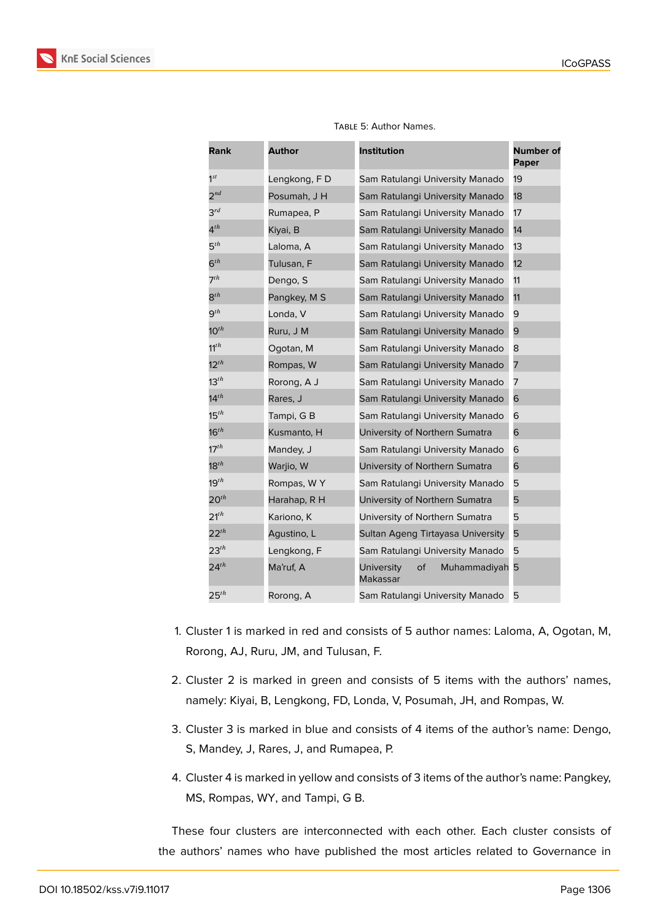

| <b>Rank</b>      | <b>Author</b> | <b>Institution</b>                           | <b>Number of</b><br><b>Paper</b> |
|------------------|---------------|----------------------------------------------|----------------------------------|
| $1^{st}$         | Lengkong, FD  | Sam Ratulangi University Manado              | 19                               |
| $2^{nd}$         | Posumah, J H  | Sam Ratulangi University Manado              | 18                               |
| $3^{rd}$         | Rumapea, P    | Sam Ratulangi University Manado              | 17                               |
| $4^{th}$         | Kiyai, B      | Sam Ratulangi University Manado              | 14                               |
| 5 <sup>th</sup>  | Laloma, A     | Sam Ratulangi University Manado              | 13                               |
| $6^{th}$         | Tulusan, F    | Sam Ratulangi University Manado              | 12                               |
| $7^{th}$         | Dengo, S      | Sam Ratulangi University Manado              | 11                               |
| $8^{th}$         | Pangkey, M S  | Sam Ratulangi University Manado              | 11                               |
| $9^{th}$         | Londa, V      | Sam Ratulangi University Manado              | 9                                |
| $10^{th}$        | Ruru, J M     | Sam Ratulangi University Manado              | 9                                |
| $11^{th}$        | Ogotan, M     | Sam Ratulangi University Manado              | 8                                |
| $12^{th}$        | Rompas, W     | Sam Ratulangi University Manado              | 7                                |
| $13^{th}$        | Rorong, A J   | Sam Ratulangi University Manado              | 7                                |
| 14 $^{th}$       | Rares, J      | Sam Ratulangi University Manado              | 6                                |
| 15 $^{th}$       | Tampi, G B    | Sam Ratulangi University Manado              | 6                                |
| 16 $^{th}$       | Kusmanto, H   | University of Northern Sumatra               | 6                                |
| $17^{th}$        | Mandey, J     | Sam Ratulangi University Manado              | 6                                |
| 18 $^{th}$       | Warjio, W     | University of Northern Sumatra               | 6                                |
| 19th             | Rompas, WY    | Sam Ratulangi University Manado              | 5                                |
| $20^{th}$        | Harahap, R H  | University of Northern Sumatra               | 5                                |
| $21^{th}$        | Kariono, K    | University of Northern Sumatra               | 5                                |
| $22^{th}$        | Agustino, L   | Sultan Ageng Tirtayasa University            | 5                                |
| $23^{th}$        | Lengkong, F   | Sam Ratulangi University Manado              | 5                                |
| $24^{th}$        | Ma'ruf, A     | of<br>Muhammadiyah<br>University<br>Makassar | 5                                |
| 25 <sup>th</sup> | Rorong, A     | Sam Ratulangi University Manado              | 5                                |

Table 5: Author Names.

- 1. Cluster 1 is marked in red and consists of 5 author names: Laloma, A, Ogotan, M, Rorong, AJ, Ruru, JM, and Tulusan, F.
- 2. Cluster 2 is marked in green and consists of 5 items with the authors' names, namely: Kiyai, B, Lengkong, FD, Londa, V, Posumah, JH, and Rompas, W.
- 3. Cluster 3 is marked in blue and consists of 4 items of the author's name: Dengo, S, Mandey, J, Rares, J, and Rumapea, P.
- 4. Cluster 4 is marked in yellow and consists of 3 items of the author's name: Pangkey, MS, Rompas, WY, and Tampi, G B.

These four clusters are interconnected with each other. Each cluster consists of the authors' names who have published the most articles related to Governance in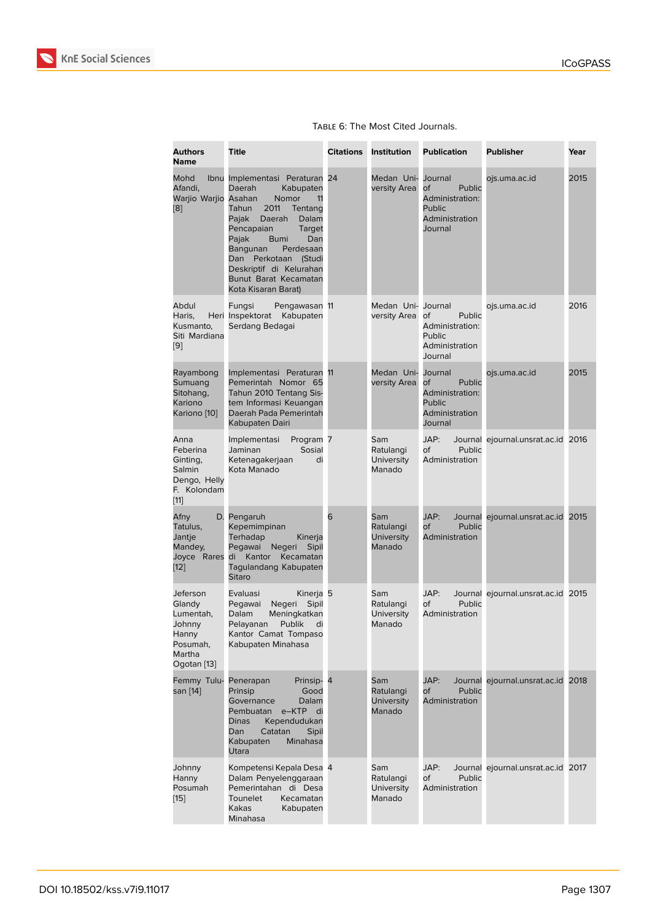|  |  | TABLE 6: The Most Cited Journals. |
|--|--|-----------------------------------|
|  |  |                                   |

| <b>Authors</b><br><b>Name</b>                                                           | <b>Title</b>                                                                                                                                                                                                                                                                                                                        | <b>Citations</b> | <b>Institution</b>                              | <b>Publication</b>                                                                       | <b>Publisher</b>                   | Year |
|-----------------------------------------------------------------------------------------|-------------------------------------------------------------------------------------------------------------------------------------------------------------------------------------------------------------------------------------------------------------------------------------------------------------------------------------|------------------|-------------------------------------------------|------------------------------------------------------------------------------------------|------------------------------------|------|
| Mohd<br>Afandi,<br>Warjio Warjio Asahan<br>[8]                                          | Ibnu Implementasi Peraturan 24<br>Daerah<br>Kabupaten<br><b>Nomor</b><br>11<br>Tahun<br>2011<br>Tentang<br>Pajak<br>Daerah<br>Dalam<br>Pencapaian<br><b>Target</b><br>Pajak<br><b>Bumi</b><br>Dan<br>Bangunan<br>Perdesaan<br>Dan<br>Perkotaan<br>(Studi<br>Deskriptif di Kelurahan<br>Bunut Barat Kecamatan<br>Kota Kisaran Barat) |                  | Medan Uni-<br>versity Area                      | Journal<br>Public<br>of<br>Administration:<br><b>Public</b><br>Administration<br>Journal | ojs.uma.ac.id                      | 2015 |
| Abdul<br>Haris,<br>Kusmanto,<br>Siti Mardiana<br>[9]                                    | Fungsi<br>Pengawasan 11<br>Heri Inspektorat<br>Kabupaten<br>Serdang Bedagai                                                                                                                                                                                                                                                         |                  | Medan Uni-<br>versity Area                      | Journal<br>Public<br>оf<br>Administration:<br>Public<br>Administration<br>Journal        | ojs.uma.ac.id                      | 2016 |
| Rayambong<br>Sumuang<br>Sitohang,<br>Kariono<br>Kariono [10]                            | Implementasi Peraturan 11<br>Pemerintah Nomor 65<br>Tahun 2010 Tentang Sis-<br>tem Informasi Keuangan<br>Daerah Pada Pemerintah<br>Kabupaten Dairi                                                                                                                                                                                  |                  | Medan Uni-<br>versity Area                      | Journal<br>Public<br>оf<br>Administration:<br><b>Public</b><br>Administration<br>Journal | ojs.uma.ac.id                      | 2015 |
| Anna<br>Feberina<br>Ginting,<br>Salmin<br>Dengo, Helly<br>F. Kolondam<br>$[11]$         | Implementasi<br>Program 7<br>Jaminan<br>Sosial<br>Ketenagakerjaan<br>di<br>Kota Manado                                                                                                                                                                                                                                              |                  | Sam<br>Ratulangi<br>University<br>Manado        | JAP:<br>οf<br>Public<br>Administration                                                   | Journal ejournal.unsrat.ac.id 2016 |      |
| Afny<br>Tatulus,<br>Jantje<br>Mandey,<br>Joyce Rares<br>[12]                            | D. Pengaruh<br>Kepemimpinan<br>Terhadap<br>Kinerja<br>Pegawai<br>Negeri<br>Sipil<br>Kantor<br>Kecamatan<br>di<br>Tagulandang Kabupaten<br>Sitaro                                                                                                                                                                                    | 6                | Sam<br>Ratulangi<br><b>University</b><br>Manado | JAP:<br>Public<br>of<br>Administration                                                   | Journal ejournal.unsrat.ac.id 2015 |      |
| Jeferson<br>Glandy<br>Lumentah,<br>Johnny<br>Hanny<br>Posumah,<br>Martha<br>Ogotan [13] | Evaluasi<br>Kinerja 5<br>Pegawai<br>Negeri<br>Sipil<br>Dalam<br>Meningkatkan<br>Pelayanan<br>Publik di<br>Kantor Camat Tompaso<br>Kabupaten Minahasa                                                                                                                                                                                |                  | Sam<br>Ratulangi<br>University<br>Manado        | JAP:<br>Οf<br>Public<br>Administration                                                   | Journal ejournal.unsrat.ac.id 2015 |      |
| Femmy Tulu-<br>san [14]                                                                 | Prinsip- 4<br>Penerapan<br>Prinsip<br>Good<br>Governance<br>Dalam<br>Pembuatan<br>$e$ –KTP<br>di<br>Kependudukan<br><b>Dinas</b><br>Dan<br>Catatan<br>Sipil<br>Kabupaten<br>Minahasa<br>Utara                                                                                                                                       |                  | Sam<br>Ratulangi<br><b>University</b><br>Manado | JAP:<br>of<br>Public<br>Administration                                                   | Journal ejournal.unsrat.ac.id 2018 |      |
| Johnny<br>Hanny<br>Posumah<br>[15]                                                      | Kompetensi Kepala Desa 4<br>Dalam Penyelenggaraan<br>Pemerintahan di Desa<br>Tounelet<br>Kecamatan<br>Kakas<br>Kabupaten<br>Minahasa                                                                                                                                                                                                |                  | Sam<br>Ratulangi<br>University<br>Manado        | JAP:<br>оf<br>Public<br>Administration                                                   | Journal ejournal.unsrat.ac.id 2017 |      |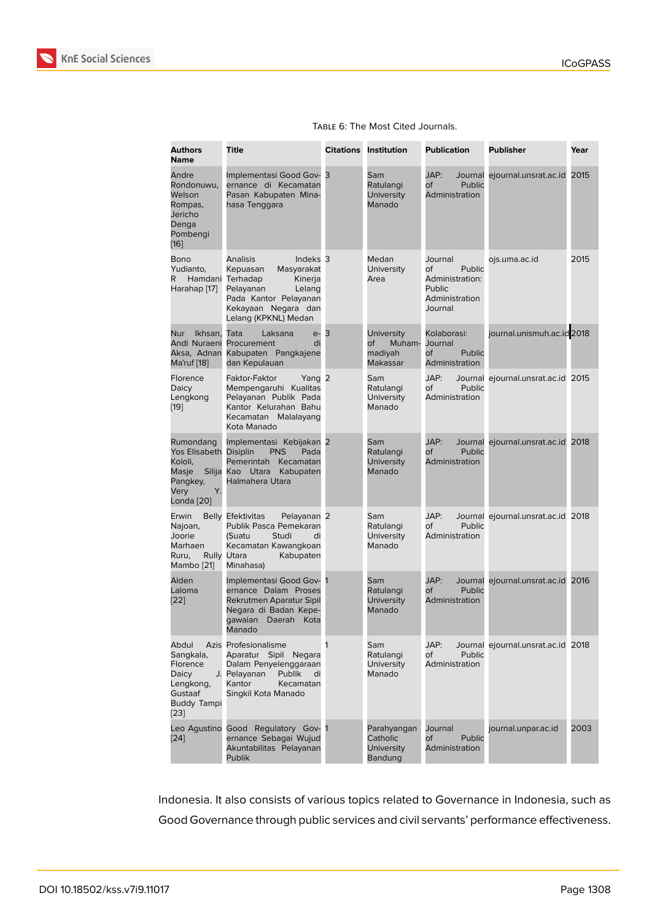|  |  | TABLE 6: The Most Cited Journals. |
|--|--|-----------------------------------|
|  |  |                                   |

| <b>Authors</b><br><b>Name</b>                                                                   | <b>Title</b>                                                                                                                                                                                   |   | <b>Citations Institution</b>                             | <b>Publication</b>                                                                | <b>Publisher</b>                   | Year |
|-------------------------------------------------------------------------------------------------|------------------------------------------------------------------------------------------------------------------------------------------------------------------------------------------------|---|----------------------------------------------------------|-----------------------------------------------------------------------------------|------------------------------------|------|
| Andre<br>Rondonuwu,<br>Welson<br>Rompas,<br>Jericho<br>Denga<br>Pombengi<br>$[16]$              | Implementasi Good Gov- 3<br>ernance di Kecamatan<br>Pasan Kabupaten Mina-<br>hasa Tenggara                                                                                                     |   | Sam<br>Ratulangi<br><b>University</b><br>Manado          | JAP:<br>Journal<br>0f<br>Public<br>Administration                                 | ejournal.unsrat.ac.id              | 2015 |
| Bono<br>Yudianto,<br>R.<br>Harahap [17]                                                         | <b>Analisis</b><br>Indeks <sub>3</sub><br>Kepuasan<br>Masyarakat<br>Hamdani Terhadap<br>Kinerja<br>Pelayanan<br>Lelang<br>Pada Kantor Pelayanan<br>Kekayaan Negara dan<br>Lelang (KPKNL) Medan |   | Medan<br>University<br>Area                              | Journal<br>Public<br>of<br>Administration:<br>Public<br>Administration<br>Journal | ojs.uma.ac.id                      | 2015 |
| Ikhsan.<br>Nur<br>Aksa, Adnan<br>Ma'ruf [18]                                                    | Laksana<br>Tata<br>$e-$<br>Andi Nuraeni Procurement<br>di<br>Kabupaten Pangkajene<br>dan Kepulauan                                                                                             | 3 | <b>University</b><br>Οf<br>Muham-<br>madiyah<br>Makassar | Kolaborasi:<br>Journal<br><b>of</b><br>Public<br>Administration                   | journal.unismuh.ac.id 2018         |      |
| Florence<br>Daicy<br>Lengkong<br>$[19]$                                                         | Yang 2<br>Faktor-Faktor<br>Mempengaruhi Kualitas<br>Pelayanan Publik Pada<br>Kantor Kelurahan Bahu<br>Kecamatan Malalayang<br>Kota Manado                                                      |   | Sam<br>Ratulangi<br><b>University</b><br>Manado          | JAP:<br>of<br>Public<br>Administration                                            | Journal ejournal.unsrat.ac.id 2015 |      |
| Rumondang<br>Yos Elisabeth Disiplin<br>Kololi,<br>Masje<br>Pangkey,<br>Υ.<br>Very<br>Londa [20] | Implementasi Kebijakan 2<br>Pada<br><b>PNS</b><br>Pemerintah Kecamatan<br>Silija Kao Utara<br>Kabupaten<br>Halmahera Utara                                                                     |   | Sam<br>Ratulangi<br><b>University</b><br>Manado          | JAP:<br><b>Public</b><br>оf<br>Administration                                     | Journal ejournal.unsrat.ac.id 2018 |      |
| Erwin<br>Najoan,<br>Joorie<br>Marhaen<br>Ruru,<br>Mambo [21]                                    | <b>Belly Efektivitas</b><br>Pelayanan <sub>2</sub><br>Publik Pasca Pemekaran<br>Studi<br>(Suatu<br>di<br>Kecamatan Kawangkoan<br>Rully Utara<br>Kabupaten<br>Minahasa)                         |   | Sam<br>Ratulangi<br>University<br>Manado                 | JAP:<br>оf<br>Public<br>Administration                                            | Journal ejournal.unsrat.ac.id 2018 |      |
| Alden<br>Laloma<br>[22]                                                                         | Implementasi Good Gov- 1<br>ernance Dalam Proses<br>Rekrutmen Aparatur Sipil<br>Negara di Badan Kepe-<br>gawaian Daerah Kota<br>Manado                                                         |   | Sam<br>Ratulangi<br>University<br>Manado                 | JAP:<br>of<br>Public<br>Administration                                            | Journal ejournal.unsrat.ac.id 2016 |      |
| Abdul<br>Sangkala,<br>Florence<br>Daicy<br>Lengkong,<br>Gustaaf<br><b>Buddy Tampi</b><br>[23]   | Azis Profesionalisme<br>Aparatur Sipil Negara<br>Dalam Penyelenggaraan<br>J. Pelavanan<br>Publik<br>di<br>Kantor<br>Kecamatan<br>Singkil Kota Manado                                           | 1 | Sam<br>Ratulangi<br><b>University</b><br>Manado          | JAP:<br>of<br>Public<br>Administration                                            | Journal ejournal.unsrat.ac.id 2018 |      |
| [24]                                                                                            | Leo Agustino Good Regulatory Gov- 1<br>ernance Sebagai Wujud<br>Akuntabilitas Pelayanan<br>Publik                                                                                              |   | Parahyangan<br>Catholic<br><b>University</b><br>Bandung  | Journal<br><b>Public</b><br>of<br>Administration                                  | journal.unpar.ac.id                | 2003 |

In[don](#page-18-4)esia. It also consists of various topics related to Governance in Indonesia, such as Good Governance through public services and civil servants' performance effectiveness.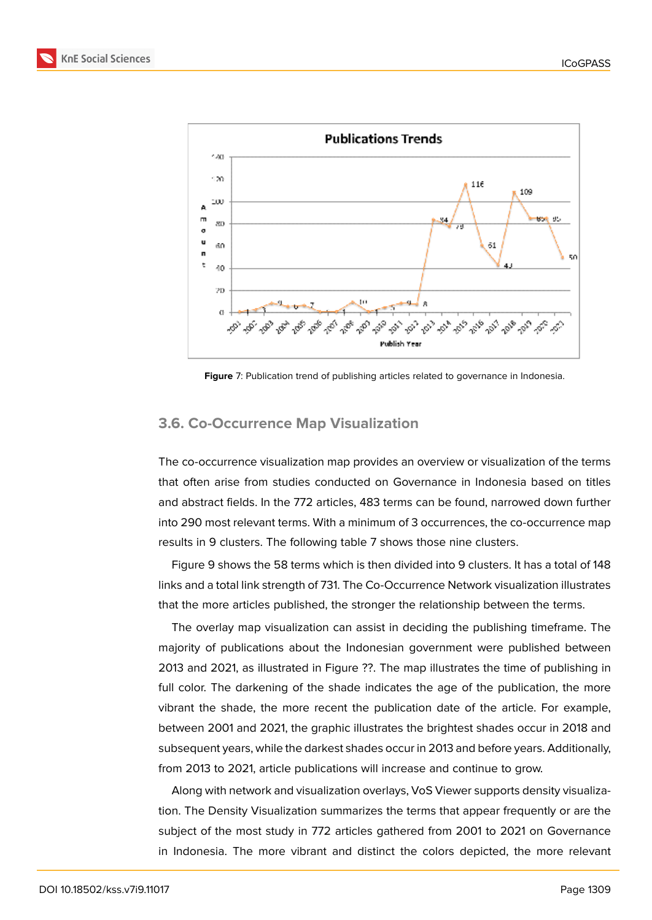

**Figure** 7: Publication trend of publishing articles related to governance in Indonesia.

#### **3.6. Co-Occurrence Map Visualization**

The co-occurrence visualization map provides an overview or visualization of the terms that often arise from studies conducted on Governance in Indonesia based on titles and abstract fields. In the 772 articles, 483 terms can be found, narrowed down further into 290 most relevant terms. With a minimum of 3 occurrences, the co-occurrence map results in 9 clusters. The following table 7 shows those nine clusters.

Figure 9 shows the 58 terms which is then divided into 9 clusters. It has a total of 148 links and a total link strength of 731. The Co-Occurrence Network visualization illustrates that the more articles published, the stronger the relationship between the terms.

The o[ve](#page-14-0)rlay map visualization can assist in deciding the publishing timeframe. The majority of publications about the Indonesian government were published between 2013 and 2021, as illustrated in Figure ??. The map illustrates the time of publishing in full color. The darkening of the shade indicates the age of the publication, the more vibrant the shade, the more recent the publication date of the article. For example, between 2001 and 2021, the graphic illustrates the brightest shades occur in 2018 and subsequent years, while the darkest shades occur in 2013 and before years. Additionally, from 2013 to 2021, article publications will increase and continue to grow.

Along with network and visualization overlays, VoS Viewer supports density visualization. The Density Visualization summarizes the terms that appear frequently or are the subject of the most study in 772 articles gathered from 2001 to 2021 on Governance in Indonesia. The more vibrant and distinct the colors depicted, the more relevant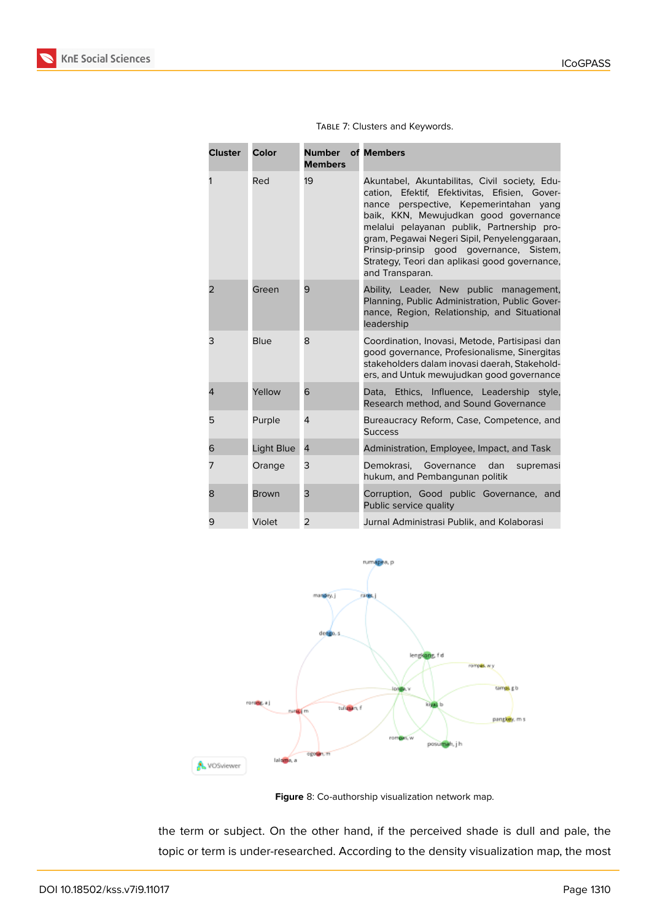| <b>Service Service</b><br>$\mathcal{L}^{\text{max}}_{\text{max}}$ and $\mathcal{L}^{\text{max}}_{\text{max}}$ and $\mathcal{L}^{\text{max}}_{\text{max}}$<br>÷<br>e e s<br>٠<br>× |  |
|-----------------------------------------------------------------------------------------------------------------------------------------------------------------------------------|--|
|                                                                                                                                                                                   |  |

| <b>Cluster</b> | Color        | <b>Number</b> of Members<br><b>Members</b> |                                                                                                                                                                                                                                                                                                                                                                                                 |
|----------------|--------------|--------------------------------------------|-------------------------------------------------------------------------------------------------------------------------------------------------------------------------------------------------------------------------------------------------------------------------------------------------------------------------------------------------------------------------------------------------|
|                | Red          | 19                                         | Akuntabel, Akuntabilitas, Civil society, Edu-<br>cation, Efektif, Efektivitas, Efisien, Gover-<br>nance perspective, Kepemerintahan yang<br>baik, KKN, Mewujudkan good governance<br>melalui pelayanan publik, Partnership pro-<br>gram, Pegawai Negeri Sipil, Penyelenggaraan,<br>Prinsip-prinsip good governance, Sistem,<br>Strategy, Teori dan aplikasi good governance,<br>and Transparan. |
| $\overline{2}$ | Green        | 9                                          | Ability, Leader, New public management,<br>Planning, Public Administration, Public Gover-<br>nance, Region, Relationship, and Situational<br>leadership                                                                                                                                                                                                                                         |
| 3              | <b>Blue</b>  | 8                                          | Coordination, Inovasi, Metode, Partisipasi dan<br>good governance, Profesionalisme, Sinergitas<br>stakeholders dalam inovasi daerah, Stakehold-<br>ers, and Untuk mewujudkan good governance                                                                                                                                                                                                    |
| 4              | Yellow       | 6                                          | Data, Ethics, Influence, Leadership style,<br>Research method, and Sound Governance                                                                                                                                                                                                                                                                                                             |
| 5              | Purple       | 4                                          | Bureaucracy Reform, Case, Competence, and<br><b>Success</b>                                                                                                                                                                                                                                                                                                                                     |
| 6              | Light Blue   | $\overline{4}$                             | Administration, Employee, Impact, and Task                                                                                                                                                                                                                                                                                                                                                      |
| 7              | Orange       | 3                                          | Demokrasi, Governance<br>dan<br>supremasi<br>hukum, and Pembangunan politik                                                                                                                                                                                                                                                                                                                     |
| 8              | <b>Brown</b> | 3                                          | Corruption, Good public Governance, and<br>Public service quality                                                                                                                                                                                                                                                                                                                               |
| 9              | Violet       | $\overline{2}$                             | Jurnal Administrasi Publik, and Kolaborasi                                                                                                                                                                                                                                                                                                                                                      |

| TABLE 7: Clusters and Keywords. |
|---------------------------------|
|---------------------------------|



**Figure** 8: Co-authorship visualization network map.

the term or subject. On the other hand, if the perceived shade is dull and pale, the topic or term is under-researched. According to the density visualization map, the most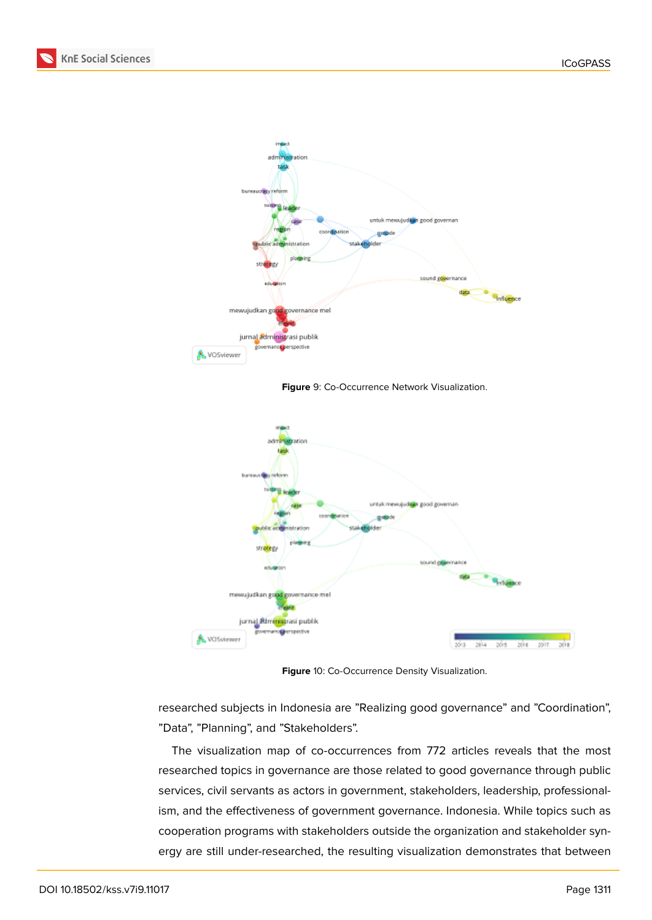



<span id="page-14-0"></span>**Figure** 9: Co-Occurrence Network Visualization.



**Figure** 10: Co-Occurrence Density Visualization.

researched subjects in Indonesia are "Realizing good governance" and "Coordination", "Data", "Planning", and "Stakeholders".

The visualization map of co-occurrences from 772 articles reveals that the most researched topics in governance are those related to good governance through public services, civil servants as actors in government, stakeholders, leadership, professionalism, and the effectiveness of government governance. Indonesia. While topics such as cooperation programs with stakeholders outside the organization and stakeholder synergy are still under-researched, the resulting visualization demonstrates that between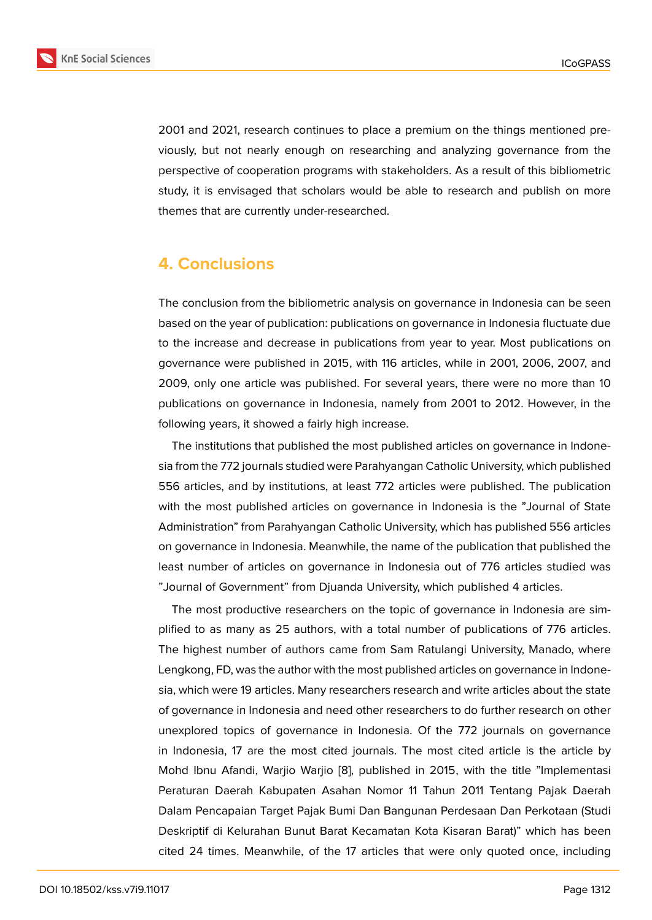2001 and 2021, research continues to place a premium on the things mentioned previously, but not nearly enough on researching and analyzing governance from the perspective of cooperation programs with stakeholders. As a result of this bibliometric study, it is envisaged that scholars would be able to research and publish on more themes that are currently under-researched.

# **4. Conclusions**

The conclusion from the bibliometric analysis on governance in Indonesia can be seen based on the year of publication: publications on governance in Indonesia fluctuate due to the increase and decrease in publications from year to year. Most publications on governance were published in 2015, with 116 articles, while in 2001, 2006, 2007, and 2009, only one article was published. For several years, there were no more than 10 publications on governance in Indonesia, namely from 2001 to 2012. However, in the following years, it showed a fairly high increase.

The institutions that published the most published articles on governance in Indonesia from the 772 journals studied were Parahyangan Catholic University, which published 556 articles, and by institutions, at least 772 articles were published. The publication with the most published articles on governance in Indonesia is the "Journal of State Administration" from Parahyangan Catholic University, which has published 556 articles on governance in Indonesia. Meanwhile, the name of the publication that published the least number of articles on governance in Indonesia out of 776 articles studied was "Journal of Government" from Djuanda University, which published 4 articles.

The most productive researchers on the topic of governance in Indonesia are simplified to as many as 25 authors, with a total number of publications of 776 articles. The highest number of authors came from Sam Ratulangi University, Manado, where Lengkong, FD, was the author with the most published articles on governance in Indonesia, which were 19 articles. Many researchers research and write articles about the state of governance in Indonesia and need other researchers to do further research on other unexplored topics of governance in Indonesia. Of the 772 journals on governance in Indonesia, 17 are the most cited journals. The most cited article is the article by Mohd Ibnu Afandi, Warjio Warjio [8], published in 2015, with the title "Implementasi Peraturan Daerah Kabupaten Asahan Nomor 11 Tahun 2011 Tentang Pajak Daerah Dalam Pencapaian Target Pajak Bumi Dan Bangunan Perdesaan Dan Perkotaan (Studi Deskriptif di Kelurahan Bunut Bar[at](#page-17-5) Kecamatan Kota Kisaran Barat)" which has been cited 24 times. Meanwhile, of the 17 articles that were only quoted once, including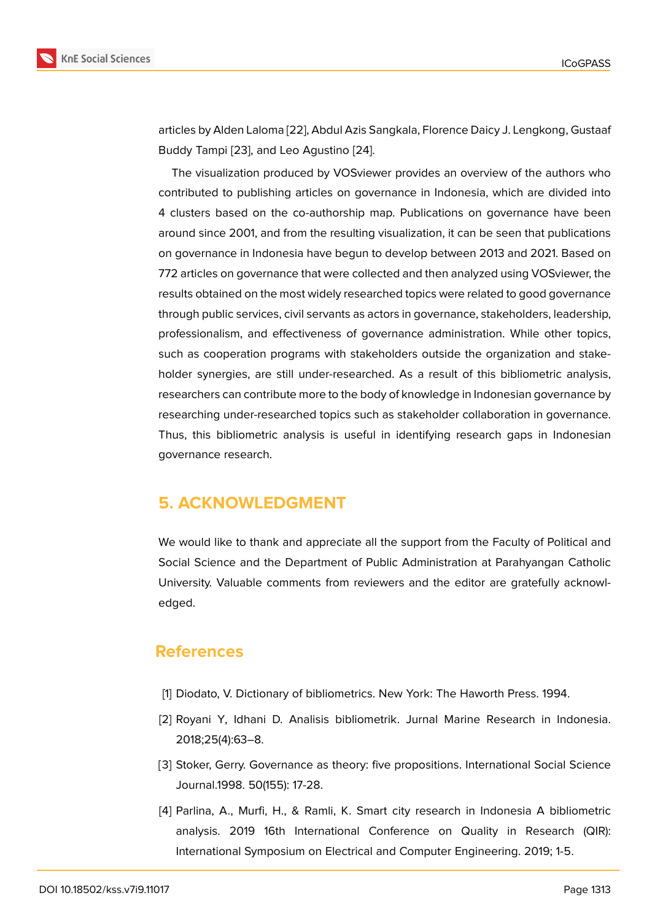articles by Alden Laloma [22], Abdul Azis Sangkala, Florence Daicy J. Lengkong, Gustaaf Buddy Tampi [23], and Leo Agustino [24].

The visualization produced by VOSviewer provides an overview of the authors who contributed to publishin[g ar](#page-18-3)ticles on governance in Indonesia, which are divided into 4 clusters ba[sed](#page-18-5) on the co-authorsh[ip m](#page-18-4)ap. Publications on governance have been around since 2001, and from the resulting visualization, it can be seen that publications on governance in Indonesia have begun to develop between 2013 and 2021. Based on 772 articles on governance that were collected and then analyzed using VOSviewer, the results obtained on the most widely researched topics were related to good governance through public services, civil servants as actors in governance, stakeholders, leadership, professionalism, and effectiveness of governance administration. While other topics, such as cooperation programs with stakeholders outside the organization and stakeholder synergies, are still under-researched. As a result of this bibliometric analysis, researchers can contribute more to the body of knowledge in Indonesian governance by researching under-researched topics such as stakeholder collaboration in governance. Thus, this bibliometric analysis is useful in identifying research gaps in Indonesian governance research.

# **5. ACKNOWLEDGMENT**

We would like to thank and appreciate all the support from the Faculty of Political and Social Science and the Department of Public Administration at Parahyangan Catholic University. Valuable comments from reviewers and the editor are gratefully acknowledged.

# **References**

- [1] Diodato, V. Dictionary of bibliometrics. New York: The Haworth Press. 1994.
- <span id="page-16-0"></span>[2] Royani Y, Idhani D. Analisis bibliometrik. Jurnal Marine Research in Indonesia. 2018;25(4):63–8.
- <span id="page-16-1"></span>[3] Stoker, Gerry. Governance as theory: five propositions. International Social Science Journal.1998. 50(155): 17-28.
- <span id="page-16-3"></span><span id="page-16-2"></span>[4] Parlina, A., Murfi, H., & Ramli, K. Smart city research in Indonesia A bibliometric analysis. 2019 16th International Conference on Quality in Research (QIR): International Symposium on Electrical and Computer Engineering. 2019; 1-5.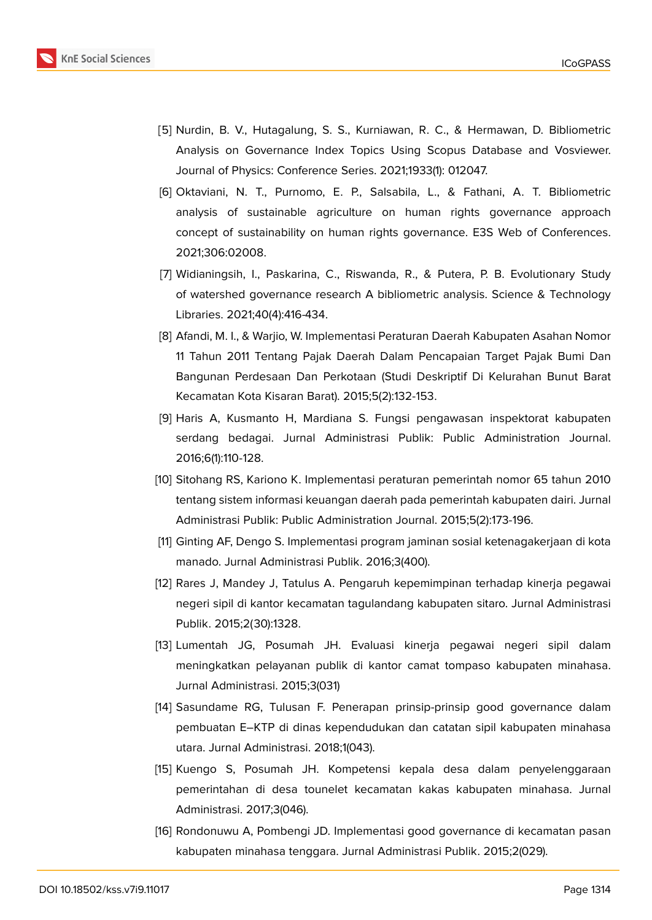

- <span id="page-17-0"></span>[5] Nurdin, B. V., Hutagalung, S. S., Kurniawan, R. C., & Hermawan, D. Bibliometric Analysis on Governance Index Topics Using Scopus Database and Vosviewer. Journal of Physics: Conference Series. 2021;1933(1): 012047.
- <span id="page-17-1"></span>[6] Oktaviani, N. T., Purnomo, E. P., Salsabila, L., & Fathani, A. T. Bibliometric analysis of sustainable agriculture on human rights governance approach concept of sustainability on human rights governance. E3S Web of Conferences. 2021;306:02008.
- [7] Widianingsih, I., Paskarina, C., Riswanda, R., & Putera, P. B. Evolutionary Study of watershed governance research A bibliometric analysis. Science & Technology Libraries. 2021;40(4):416-434.
- <span id="page-17-5"></span>[8] Afandi, M. I., & Warjio, W. Implementasi Peraturan Daerah Kabupaten Asahan Nomor 11 Tahun 2011 Tentang Pajak Daerah Dalam Pencapaian Target Pajak Bumi Dan Bangunan Perdesaan Dan Perkotaan (Studi Deskriptif Di Kelurahan Bunut Barat Kecamatan Kota Kisaran Barat). 2015;5(2):132-153.
- <span id="page-17-2"></span>[9] Haris A, Kusmanto H, Mardiana S. Fungsi pengawasan inspektorat kabupaten serdang bedagai. Jurnal Administrasi Publik: Public Administration Journal. 2016;6(1):110-128.
- [10] Sitohang RS, Kariono K. Implementasi peraturan pemerintah nomor 65 tahun 2010 tentang sistem informasi keuangan daerah pada pemerintah kabupaten dairi. Jurnal Administrasi Publik: Public Administration Journal. 2015;5(2):173-196.
- <span id="page-17-3"></span>[11] Ginting AF, Dengo S. Implementasi program jaminan sosial ketenagakerjaan di kota manado. Jurnal Administrasi Publik. 2016;3(400).
- <span id="page-17-4"></span>[12] Rares J, Mandey J, Tatulus A. Pengaruh kepemimpinan terhadap kinerja pegawai negeri sipil di kantor kecamatan tagulandang kabupaten sitaro. Jurnal Administrasi Publik. 2015;2(30):1328.
- [13] Lumentah JG, Posumah JH. Evaluasi kinerja pegawai negeri sipil dalam meningkatkan pelayanan publik di kantor camat tompaso kabupaten minahasa. Jurnal Administrasi. 2015;3(031)
- [14] Sasundame RG, Tulusan F. Penerapan prinsip-prinsip good governance dalam pembuatan E–KTP di dinas kependudukan dan catatan sipil kabupaten minahasa utara. Jurnal Administrasi. 2018;1(043).
- [15] Kuengo S, Posumah JH. Kompetensi kepala desa dalam penyelenggaraan pemerintahan di desa tounelet kecamatan kakas kabupaten minahasa. Jurnal Administrasi. 2017;3(046).
- [16] Rondonuwu A, Pombengi JD. Implementasi good governance di kecamatan pasan kabupaten minahasa tenggara. Jurnal Administrasi Publik. 2015;2(029).